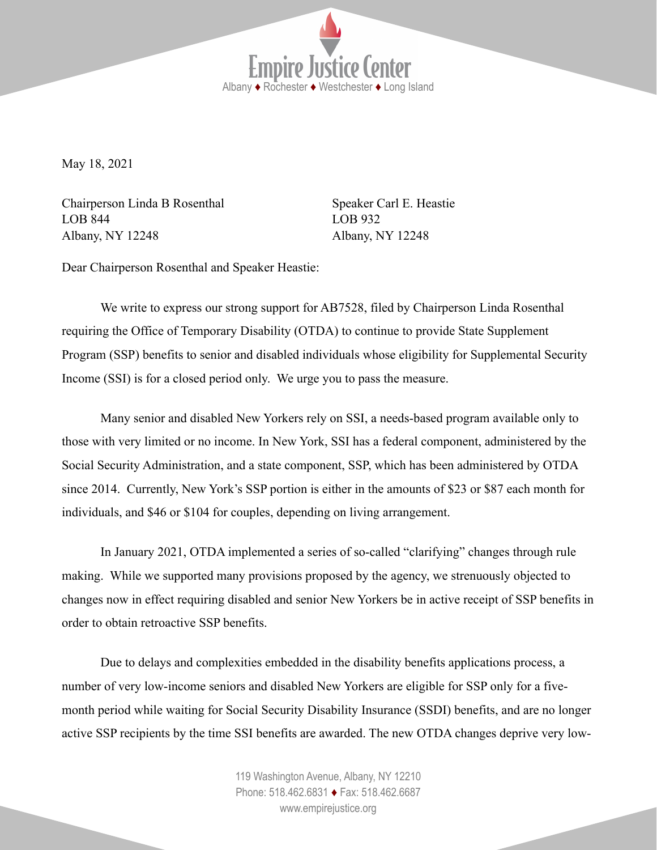**Empire Justice Center** Albany ♦ Rochester ♦ Westchester ♦ Long Island

May 18, 2021

Chairperson Linda B Rosenthal Speaker Carl E. Heastie LOB 844 LOB 932 Albany, NY 12248 Albany, NY 12248

Dear Chairperson Rosenthal and Speaker Heastie:

We write to express our strong support for AB7528, filed by Chairperson Linda Rosenthal requiring the Office of Temporary Disability (OTDA) to continue to provide State Supplement Program (SSP) benefits to senior and disabled individuals whose eligibility for Supplemental Security Income (SSI) is for a closed period only. We urge you to pass the measure.

Many senior and disabled New Yorkers rely on SSI, a needs-based program available only to those with very limited or no income. In New York, SSI has a federal component, administered by the Social Security Administration, and a state component, SSP, which has been administered by OTDA since 2014. Currently, New York's SSP portion is either in the amounts of \$23 or \$87 each month for individuals, and \$46 or \$104 for couples, depending on living arrangement.

In January 2021, OTDA implemented a series of so-called "clarifying" changes through rule making. While we supported many provisions proposed by the agency, we strenuously objected to changes now in effect requiring disabled and senior New Yorkers be in active receipt of SSP benefits in order to obtain retroactive SSP benefits.

Due to delays and complexities embedded in the disability benefits applications process, a number of very low-income seniors and disabled New Yorkers are eligible for SSP only for a fivemonth period while waiting for Social Security Disability Insurance (SSDI) benefits, and are no longer active SSP recipients by the time SSI benefits are awarded. The new OTDA changes deprive very low-

> 119 Washington Avenue, Albany, NY 12210 Phone: 518.462.6831 ♦ Fax: 518.462.6687 [www.empirejustice.org](http://www.empirejustice.org)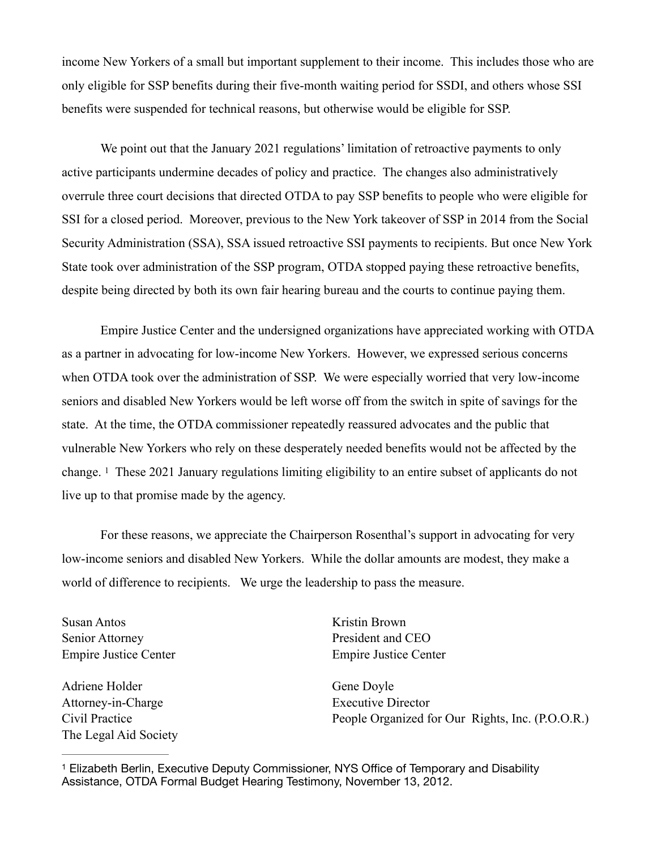income New Yorkers of a small but important supplement to their income. This includes those who are only eligible for SSP benefits during their five-month waiting period for SSDI, and others whose SSI benefits were suspended for technical reasons, but otherwise would be eligible for SSP.

We point out that the January 2021 regulations' limitation of retroactive payments to only active participants undermine decades of policy and practice. The changes also administratively overrule three court decisions that directed OTDA to pay SSP benefits to people who were eligible for SSI for a closed period. Moreover, previous to the New York takeover of SSP in 2014 from the Social Security Administration (SSA), SSA issued retroactive SSI payments to recipients. But once New York State took over administration of the SSP program, OTDA stopped paying these retroactive benefits, despite being directed by both its own fair hearing bureau and the courts to continue paying them.

Empire Justice Center and the undersigned organizations have appreciated working with OTDA as a partner in advocating for low-income New Yorkers. However, we expressed serious concerns when OTDA took over the administration of SSP. We were especially worried that very low-income seniors and disabled New Yorkers would be left worse off from the switch in spite of savings for the state. At the time, the OTDA commissioner repeatedly reassured advocates and the public that vulnerable New Yorkers who rely on these desperately needed benefits would not be affected by the change.  $\frac{1}{1}$  $\frac{1}{1}$  $\frac{1}{1}$  These 2021 January regulations limiting eligibility to an entire subset of applicants do not live up to that promise made by the agency.

<span id="page-1-1"></span>For these reasons, we appreciate the Chairperson Rosenthal's support in advocating for very low-income seniors and disabled New Yorkers. While the dollar amounts are modest, they make a world of difference to recipients. We urge the leadership to pass the measure.

Susan Antos **Kristin Brown** Senior Attorney President and CEO

Adriene Holder Gene Dovle Attorney-in-Charge Executive Director The Legal Aid Society

Empire Justice Center Empire Justice Center

Civil Practice People Organized for Our Rights, Inc. (P.O.O.R.)

<span id="page-1-0"></span><sup>&</sup>lt;sup>[1](#page-1-1)</sup> Elizabeth Berlin, Executive Deputy Commissioner, NYS Office of Temporary and Disability Assistance, OTDA Formal Budget Hearing Testimony, November 13, 2012.